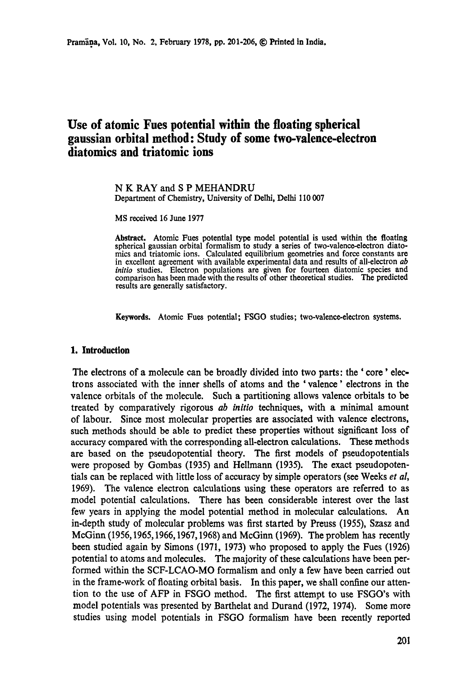# **Use of atomic Fues potential within the floating spherical gaussian orbital method: Study of some two-valence-electron diatomics and triatomic ions**

#### N K RAY and S P MEHANDRU Department of Chemistry, University of Delhi, Delhi 110 007

MS received 16 June 1977

**Abstract.** Atomic Fues potential type model potential is used within the floating spherical gaussian orbital formalism to study a series of two-valence-electron diatomics and triatomic ions. Calculated equilibrium geometries and force constants are in excellent agreement with available experimental data and results of all-electron *ab initio* studies. Electron populations are given for fourteen diatomic species and comparison has been made with the results of other theoretical studies. The predicted results are generally satisfactory.

Keywords. Atomic Fues potential; FSGO studies; two-valence-electron systems.

### **1. Introduction**

The electrons of a molecule can be broadly divided into two parts: the ' core' electrons associated with the inner shells of atoms and the 'valence' electrons in the valence orbitals of the molecule. Such a partitioning allows valence orbitals to be treated by comparatively rigorous *ab initio* techniques, with a minimal amount of labour. Since most molecular properties are associated with valence electrons, such methods should be able to predict these properties without significant loss of accuracy compared with the corresponding all-electron calculations. These methods are based on the pseudopotential theory. The first models of pseudopotentials were proposed by Gombas (1935) and Hellmann (1935). The exact pseudopotenrials can be replaced with little loss of accuracy by simple operators (see Weeks *et al,*  1969). The valence electron calculations using these operators are referred to as model potential calculations. There has been considerable interest over the last few years in applying the model potential method in molecular calculations. An in-depth study of molecular problems was first started by Preuss (1955), Szasz and McGinn (1956,1965,1966,1967,1968) and McGinn (1969). The problem has recently been studied again by Simons (1971, 1973) who proposed to apply the Fues (1926) potential to atoms and molecules. The majority of these calculations have been performed within the SCF-LCAO-MO formalism and only a few have been carried out in the frame-work of floating orbital basis. In this paper, we shall confine our attention to the use of AFP in FSGO method. The first attempt to use FSGO's with model potentials was presented by Barthelat and Durand (1972, 1974). Some more studies using model potentials in FSGO formalism have been recently reported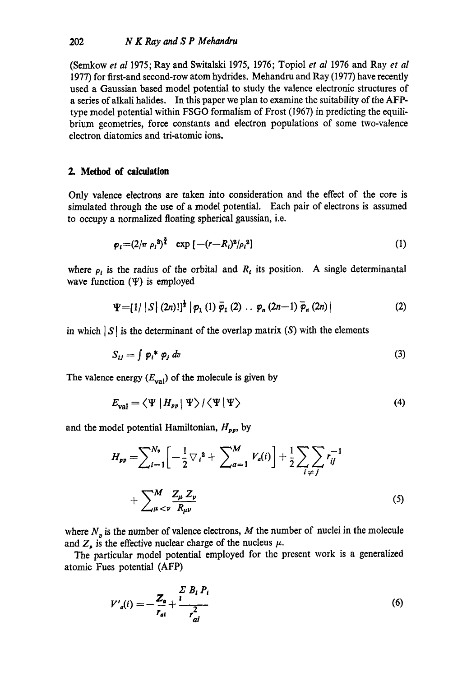(Semkow *et al* 1975; Ray and Switalski 1975, 1976; Topiol *et al* 1976 and Ray *et al*  1977) for first-and second-row atom hydrides. Mehandru and Ray (1977) have recently used a Gaussian based model potential to study the valence electronic structures of a series of alkali halides. In this paper we plan to examine the suitability of the AFPtype model potential within FSGO formalism of Frost (1967) in predicting the equilibrium geometries, force constants and electron populations of some two-valence electron diatomics and tri-atomic ions.

### **2. Method of** calculation

Only valence electrons are taken into consideration and the effect of the core is simulated through the use of a model potential. Each pair of electrons is assumed to occupy a normalized floating spherical gaussian, i.e.

$$
\varphi_i = (2/\pi \rho_i^2)^{\frac{3}{4}} \exp \left[ -(r - R_i)^2 / \rho_i^2 \right] \tag{1}
$$

where  $\rho_i$  is the radius of the orbital and  $R_i$  its position. A single determinantal wave function  $(\Psi)$  is employed

$$
\Psi = [1/|S| (2n)!]^{\frac{1}{2}} | \varphi_1 (1) \overline{\varphi}_1 (2) \dots \varphi_n (2n-1) \overline{\varphi}_n (2n) | \qquad (2)
$$

in which  $|S|$  is the determinant of the overlap matrix  $(S)$  with the elements

$$
S_{ij} = \int \varphi_i^* \varphi_j \, dv \tag{3}
$$

The valence energy  $(E_{val})$  of the molecule is given by

$$
E_{\text{val}} = \langle \Psi | H_{\text{pp}} | \Psi \rangle / \langle \Psi | \Psi \rangle \tag{4}
$$

and the model potential Hamiltonian,  $H_{pp}$ , by

$$
H_{pp} = \sum_{i=1}^{N_v} \left[ -\frac{1}{2} \nabla_i^2 + \sum_{a=1}^M V_a(i) \right] + \frac{1}{2} \sum_{i \neq j} \sum_{j} r_{ij}^{-1} + \sum_{\mu < \nu} \frac{Z_{\mu}}{R_{\mu\nu}} \tag{5}
$$

where  $N<sub>n</sub>$  is the number of valence electrons, M the number of nuclei in the molecule and  $Z_{\mu}$  is the effective nuclear charge of the nucleus  $\mu$ .

The particular model potential employed for the present work is a generalized atomic Fues potential (AFP)

$$
V'_{a}(i) = -\frac{Z_{a}}{r_{a}!} + \frac{\sum_{i} B_{i} P_{i}}{r_{a}^{2}}
$$
 (6)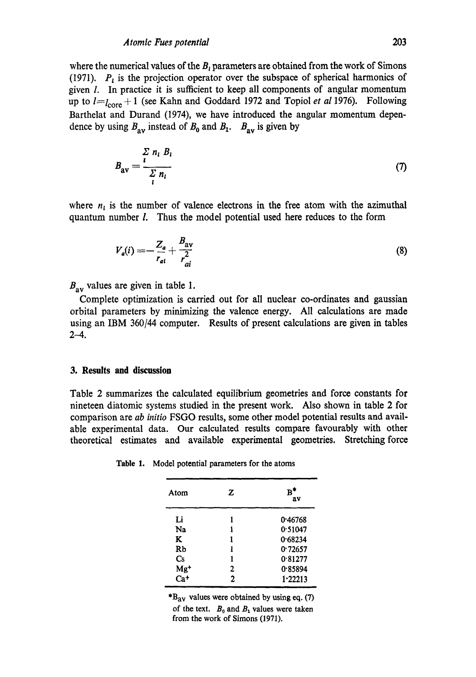where the numerical values of the  $B<sub>i</sub>$  parameters are obtained from the work of Simons (1971).  $P_i$  is the projection operator over the subspace of spherical harmonics of given 1. In practice it is sufficient to keep all components of angular momentum up to  $l=l<sub>core</sub> + 1$  (see Kahn and Goddard 1972 and Topiol *et al* 1976). Following Barthelat and Durand (1974), we have introduced the angular momentum dependence by using  $B_{av}$  instead of  $B_0$  and  $B_1$ .  $B_{av}$  is given by

$$
B_{\rm av} = \frac{\sum_{l} n_l B_l}{\sum_{l} n_l} \tag{7}
$$

where  $n_i$  is the number of valence electrons in the free atom with the azimuthal quantum number 1. Thus the model potential used here reduces to the form

$$
V_a(i) = -\frac{Z_a}{r_{ai}} + \frac{B_{av}}{r_{ai}^2}
$$
 (8)

 $B_{\text{av}}$  values are given in table 1.

Complete optimization is carried out for all nuclear co-ordinates and gaussian orbital parameters by minimizing the valence energy. All calculations are made using an IBM 360/44 computer. Results of present calculations are given in tables  $2 - 4.$ 

#### **3. Results and discussion**

Table 2 summarizes the calculated equilibrium geometries and force constants for nineteen diatomic systems studied in the present work. Also shown in table 2 for comparison are *ab initio* FSGO results, some other model potential results and available experimental data. Our calculated results compare favourably with other theoretical estimates and available experimental geometries. Stretching force

| Atom           | z | R<br>av |
|----------------|---|---------|
| Li             |   | 0.46768 |
| Na             |   | 0.51047 |
| K              | 1 | 0.68234 |
| Rb             | 1 | 0.72657 |
| $\mathbf{C}$ s | 1 | 0.81277 |
| $Mg+$          | 2 | 0.85894 |
| Ca+            | 2 | 1.22213 |

Table 1. Model potential parameters for the atoms

 $B_{\text{av}}$  values were obtained by using eq. (7) of the text.  $B_0$  and  $B_1$  values were taken from the work of Simons (1971).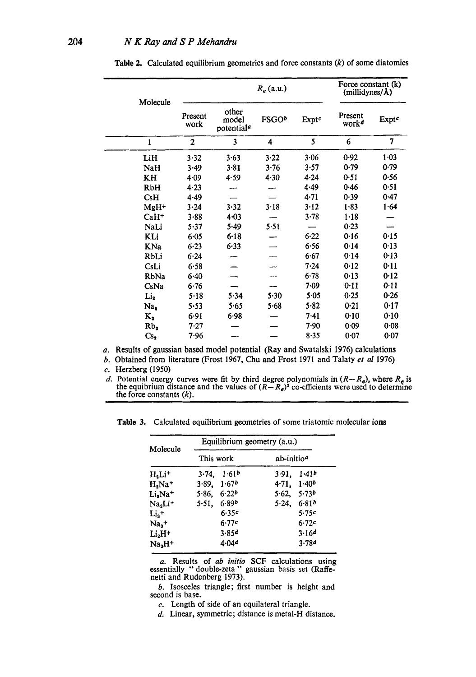| Molecule              |                 | $R_e$ (a.u.)                             |                   |          | Force constant (k)<br>(millidynes/A) |              |
|-----------------------|-----------------|------------------------------------------|-------------------|----------|--------------------------------------|--------------|
|                       | Present<br>work | other<br>model<br>potential <sup>a</sup> | FSGO <sup>b</sup> | Exptc    | Present<br>work <sup>d</sup>         | <b>Exptc</b> |
| $\mathbf{1}$          | $\overline{c}$  | $\overline{\mathbf{3}}$                  | 4                 | 5        | 6                                    | 7            |
| LiH                   | 3.32            | 3.63                                     | 3.22              | 3.06     | 0.92                                 | 1.03         |
| NaH                   | 3.49            | $3 - 81$                                 | 3.76              | 3.57     | 0.79                                 | 0.79         |
| KH                    | 4.09            | 4.59                                     | $4 - 30$          | 4.24     | 0.51                                 | 0.56         |
| RbH                   | 4.23            |                                          |                   | 4.49     | 0.46                                 | 0.51         |
| CsH                   | 4.49            |                                          |                   | $4 - 71$ | 0.39                                 | 0.47         |
| MgH <sup>+</sup>      | 3.24            | 3.32                                     | 3.18              | 3.12     | 1.83                                 | 1.64         |
| $CaH+$                | 3.88            | $4 - 03$                                 |                   | 3.78     | $1 - 18$                             |              |
| NaLi                  | 5.37            | 5.49                                     | 5.51              |          | 0.23                                 |              |
| KLi                   | 6.05            | $6 - 18$                                 |                   | $6 - 22$ | 0.16                                 | 0.15         |
| KNa                   | $6 - 23$        | 6.33                                     |                   | 6.56     | 0.14                                 | 0.13         |
| RbLi                  | $6 - 24$        |                                          |                   | 6.67     | 0.14                                 | 0.13         |
| CsLi                  | 6.58            |                                          |                   | 7.24     | 0.12                                 | 0.11         |
| RbNa                  | 6.40            |                                          |                   | 6.78     | 0.13                                 | 0.12         |
| CsNa                  | 6.76            |                                          |                   | 7-09     | $0 - 11$                             | 0.11         |
| Li <sub>2</sub>       | 5.18            | 5.34                                     | 5.30              | $5 - 05$ | 0.25                                 | 0.26         |
| Na,                   | 5.53            | 5.65                                     | 5.68              | 5.82     | 0.21                                 | 0.17         |
| K,                    | 6.91            | 6.98                                     |                   | 7.41     | 0.10                                 | 0.10         |
| Rb <sub>2</sub>       | 7.27            |                                          |                   | 7.90     | 0.09                                 | 0.08         |
| $\mathsf{Cs}_\bullet$ | 7.96            |                                          |                   | 8.35     | $0 - 07$                             | 0.07         |

Table 2. Calculated equilibrium geometries and force constants  $(k)$  of some diatomics

a. Results of gaussian based model potential (Ray and Swatalski 1976) calculations

b. Obtained from literature (Frost 1967, Chu and Frost 1971 and Talaty *et al* 1976)

c. Herzberg (1950)

d. Potential energy curves were fit by third degree polynomials in  $(R - R_e)$ , where  $R_e$  is the equibrium distance and the values of  $(R - R_e)^2$  co-efficients were used to determine the force constants  $(k)$ .

**Table 3.** Calculated equilibrium geometries of some triatomic molecular ions

| Molecule              | Equilibrium geometry (a.u.) |                            |  |
|-----------------------|-----------------------------|----------------------------|--|
|                       | This work                   | ab-initio <sup>a</sup>     |  |
| $H_2Li^+$             | 1.61 <sup>b</sup><br>3.74.  | 1.41b<br>3.91.             |  |
| $H_a$ Na <sup>+</sup> | 1.67 <sup>b</sup><br>3.89.  | 1.40 <sup>b</sup><br>4.71. |  |
| Li,Na <sup>+</sup>    | 6.22 <sup>b</sup><br>5.86.  | 5.73 <sup>b</sup><br>5.62  |  |
| $Na2Li+$              | 6.89 <sup>b</sup><br>5.51.  | 5.24.<br>6.81b             |  |
| $Li3$ +               | 6.35c                       | 5.75c                      |  |
| $Na3$ <sup>+</sup>    | 6.77c                       | 6.72c                      |  |
| $Li2H+$               | 3.85d                       | 3.164                      |  |
| $Na3H+$               | 4.04 <sup>d</sup>           | 3.784                      |  |

a. Results of *ab initio* SCF calculations using essentially "double-zeta" gaussian basis set (Raffenetti and Rudenberg 1973).

b. Isosceles triangle; first number is height and second is base.

 $c$ . Length of side of an equilateral triangle.

d. Linear, symmetric; distance is metal-H distance.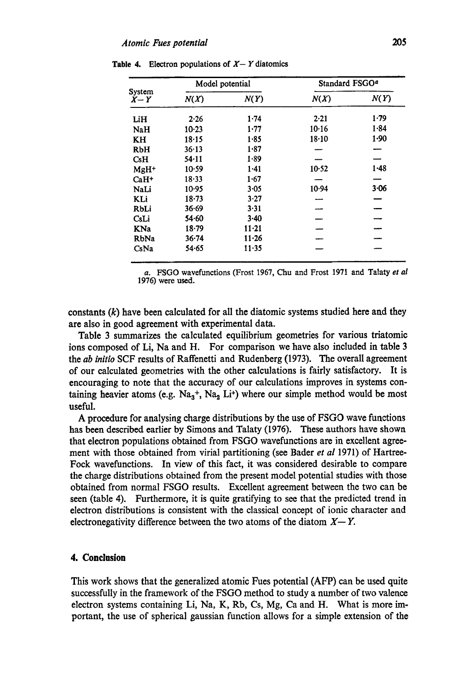| System<br>$X-Y$  | Model potential |           | Standard FSGO <sup>a</sup> |          |
|------------------|-----------------|-----------|----------------------------|----------|
|                  | N(X)            | N(Y)      | N(X)                       | N(Y)     |
| LiH              | 2.26            | 1.74      | $2 - 21$                   | 1.79     |
| NaH              | $10-23$         | 1.77      | 10.16                      | 1.84     |
| KH               | 18.15           | $1 - 85$  | 18.10                      | 1.90     |
| RbH              | 36.13           | 1.87      |                            |          |
| C <sub>s</sub> H | 54-11           | 1.89      |                            |          |
| $MgH^+$          | $10-59$         | $1 - 41$  | 10.52                      | 1.48     |
| $Ca1+$           | 18.33           | 1.67      |                            |          |
| NaLi             | 10.95           | 3.05      | 10.94                      | $3 - 06$ |
| KLi              | $18 - 73$       | $3-27$    |                            |          |
| RbLi             | 36.69           | 3.31      |                            |          |
| CsLi             | 54∙60           | $3-40$    |                            |          |
| KNa              | $18 - 79$       | $11 - 21$ |                            |          |
| RbNa             | 36.74           | $11 - 26$ |                            |          |
| CsNa             | 54.65           | $11 - 35$ |                            |          |

**Table 4.** Electron populations of  $X - Y$  diatomics

a. FSGO wavefunctions (Frost 1967, Chu and Frost 1971 and Tataty *et al*  1976) were used.

constants  $(k)$  have been calculated for all the diatomic systems studied here and they are also in good agreement with experimental data.

Table 3 summarizes the calculated equilibrium geometries for various triatomic ions composed of Li, Na and H. For comparison we have also included in table 3 the *ab initio* SCF results of Raffenetti and Rudenberg (1973). The overall agreement of our calculated geometries with the other calculations is fairly satisfactory. It is encouraging to note that the accuracy of our calculations improves in systems containing heavier atoms (e.g.  $Na<sub>3</sub>$ +, Na<sub>2</sub> Li<sup>+</sup>) where our simple method would be most useful.

A procedure for analysing charge distributions by the use of FSGO wave functions has been described earlier by Simons and Talaty (1976). These authors have shown that electron populations obtained from FSGO wavefunctions are in excellent agreement with those obtained from virial partitioning (see Bader *et al* 1971) of Hartree-Fock wavefunctions. In view of this fact, it was considered desirable to compare the charge distributions obtained from the present model potential studies with those obtained from normal FSGO results. Excellent agreement between the two can be seen (table 4). Furthermore, it is quite gratifying to see that the predicted trend in electron distributions is consistent with the classical concept of ionic character and electronegativity difference between the two atoms of the diatom  $X-Y$ .

## **4. Conclusion**

This work shows that the generalized atomic Fues potential (AFP) can be used quite successfully in the framework of the FSGO method to study a number of two valence electron systems containing Li, Na, K, Rb, Cs, Mg, Ca and H. What is more important, the use of spherical gaussian function allows for a simple extension of the